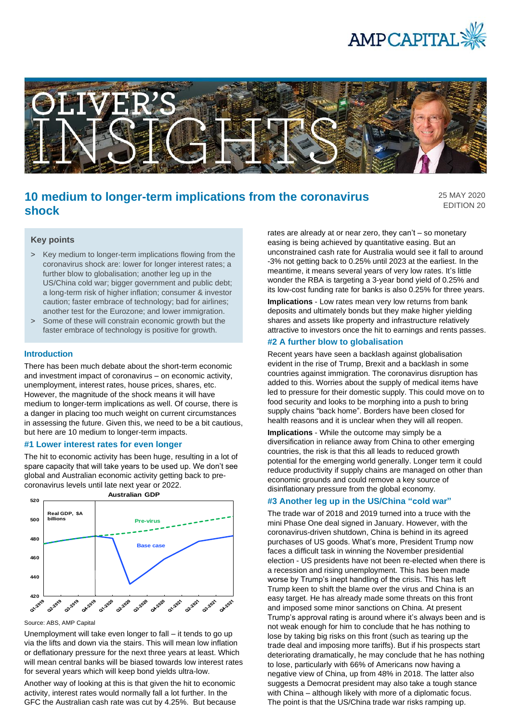



# **10 medium to longer-term implications from the coronavirus shock**

25 MAY 2020 EDITION 20

#### **Key points**

- > Key medium to longer-term implications flowing from the coronavirus shock are: lower for longer interest rates; a further blow to globalisation; another leg up in the US/China cold war; bigger government and public debt; a long-term risk of higher inflation; consumer & investor caution; faster embrace of technology; bad for airlines; another test for the Eurozone; and lower immigration.
- > Some of these will constrain economic growth but the faster embrace of technology is positive for growth.

#### **Introduction**

There has been much debate about the short-term economic and investment impact of coronavirus – on economic activity, unemployment, interest rates, house prices, shares, etc. However, the magnitude of the shock means it will have medium to longer-term implications as well. Of course, there is a danger in placing too much weight on current circumstances in assessing the future. Given this, we need to be a bit cautious, but here are 10 medium to longer-term impacts.

#### **#1 Lower interest rates for even longer**

The hit to economic activity has been huge, resulting in a lot of spare capacity that will take years to be used up. We don't see global and Australian economic activity getting back to precoronavirus levels until late next year or 2022.



Source: ABS, AMP Capital

Unemployment will take even longer to fall – it tends to go up via the lifts and down via the stairs. This will mean low inflation or deflationary pressure for the next three years at least. Which will mean central banks will be biased towards low interest rates for several years which will keep bond yields ultra-low.

Another way of looking at this is that given the hit to economic activity, interest rates would normally fall a lot further. In the GFC the Australian cash rate was cut by 4.25%. But because rates are already at or near zero, they can't – so monetary easing is being achieved by quantitative easing. But an unconstrained cash rate for Australia would see it fall to around -3% not getting back to 0.25% until 2023 at the earliest. In the meantime, it means several years of very low rates. It's little wonder the RBA is targeting a 3-year bond yield of 0.25% and its low-cost funding rate for banks is also 0.25% for three years.

**Implications** - Low rates mean very low returns from bank deposits and ultimately bonds but they make higher yielding shares and assets like property and infrastructure relatively attractive to investors once the hit to earnings and rents passes.

# **#2 A further blow to globalisation**

Recent years have seen a backlash against globalisation evident in the rise of Trump, Brexit and a backlash in some countries against immigration. The coronavirus disruption has added to this. Worries about the supply of medical items have led to pressure for their domestic supply. This could move on to food security and looks to be morphing into a push to bring supply chains "back home". Borders have been closed for health reasons and it is unclear when they will all reopen.

**Implications** - While the outcome may simply be a diversification in reliance away from China to other emerging countries, the risk is that this all leads to reduced growth potential for the emerging world generally. Longer term it could reduce productivity if supply chains are managed on other than economic grounds and could remove a key source of disinflationary pressure from the global economy.

#### **#3 Another leg up in the US/China "cold war"**

The trade war of 2018 and 2019 turned into a truce with the mini Phase One deal signed in January. However, with the coronavirus-driven shutdown, China is behind in its agreed purchases of US goods. What's more, President Trump now faces a difficult task in winning the November presidential election - US presidents have not been re-elected when there is a recession and rising unemployment. This has been made worse by Trump's inept handling of the crisis. This has left Trump keen to shift the blame over the virus and China is an easy target. He has already made some threats on this front and imposed some minor sanctions on China. At present Trump's approval rating is around where it's always been and is not weak enough for him to conclude that he has nothing to lose by taking big risks on this front (such as tearing up the trade deal and imposing more tariffs). But if his prospects start deteriorating dramatically, he may conclude that he has nothing to lose, particularly with 66% of Americans now having a negative view of China, up from 48% in 2018. The latter also suggests a Democrat president may also take a tough stance with China – although likely with more of a diplomatic focus. The point is that the US/China trade war risks ramping up.